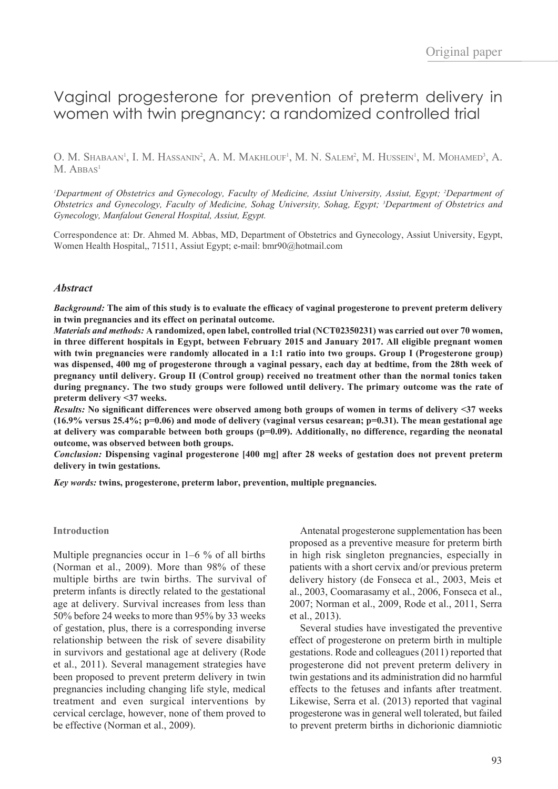# Vaginal progesterone for prevention of preterm delivery in women with twin pregnancy: a randomized controlled trial

O. M. Shabaan<sup>1</sup>, I. M. Hassanin<sup>2</sup>, A. M. Makhlouf<sup>1</sup>, M. N. Salem<sup>2</sup>, M. Hussein<sup>1</sup>, M. Mohamed<sup>3</sup>, A.  $M.$  ABBAS<sup>1</sup>

<sup>*1*</sup>Department of Obstetrics and Gynecology, Faculty of Medicine, Assiut University, Assiut, Egypt; <sup>2</sup>Department of *Obstetrics and Gynecology, Faculty of Medicine, Sohag University, Sohag, Egypt; 3 Department of Obstetrics and Gynecology, Manfalout General Hospital, Assiut, Egypt.*

Correspondence at: Dr. Ahmed M. Abbas, MD, Department of Obstetrics and Gynecology, Assiut University, Egypt, Women Health Hospital,, 71511, Assiut Egypt; e-mail: bmr90@hotmail.com

#### *Abstract*

*Background:* **The aim of this study is to evaluate the effcacy of vaginal progesterone to prevent preterm delivery in twin pregnancies and its effect on perinatal outcome.** 

*Materials and methods:* **A randomized, open label, controlled trial (NCT02350231) was carried out over 70 women, in three different hospitals in Egypt, between February 2015 and January 2017. All eligible pregnant women with twin pregnancies were randomly allocated in a 1:1 ratio into two groups. Group I (Progesterone group) was dispensed, 400 mg of progesterone through a vaginal pessary, each day at bedtime, from the 28th week of pregnancy until delivery. Group II (Control group) received no treatment other than the normal tonics taken during pregnancy. The two study groups were followed until delivery. The primary outcome was the rate of preterm delivery <37 weeks.**

*Results:* **No signifcant differences were observed among both groups of women in terms of delivery <37 weeks (16.9% versus 25.4%; p=0.06) and mode of delivery (vaginal versus cesarean; p=0.31). The mean gestational age at delivery was comparable between both groups (p=0.09). Additionally, no difference, regarding the neonatal outcome, was observed between both groups.** 

*Conclusion:* **Dispensing vaginal progesterone [400 mg] after 28 weeks of gestation does not prevent preterm delivery in twin gestations.**

*Key words:* **twins, progesterone, preterm labor, prevention, multiple pregnancies.** 

#### **Introduction**

Multiple pregnancies occur in 1–6 % of all births (Norman et al., 2009). More than 98% of these multiple births are twin births. The survival of preterm infants is directly related to the gestational age at delivery. Survival increases from less than 50% before 24 weeks to more than 95% by 33 weeks of gestation, plus, there is a corresponding inverse relationship between the risk of severe disability in survivors and gestational age at delivery (Rode et al., 2011). Several management strategies have been proposed to prevent preterm delivery in twin pregnancies including changing life style, medical treatment and even surgical interventions by cervical cerclage, however, none of them proved to be effective (Norman et al., 2009).

Antenatal progesterone supplementation has been proposed as a preventive measure for preterm birth in high risk singleton pregnancies, especially in patients with a short cervix and/or previous preterm delivery history (de Fonseca et al., 2003, Meis et al., 2003, Coomarasamy et al., 2006, Fonseca et al., 2007; Norman et al., 2009, Rode et al., 2011, Serra et al., 2013).

Several studies have investigated the preventive effect of progesterone on preterm birth in multiple gestations. Rode and colleagues (2011) reported that progesterone did not prevent preterm delivery in twin gestations and its administration did no harmful effects to the fetuses and infants after treatment. Likewise, Serra et al. (2013) reported that vaginal progesterone was in general well tolerated, but failed to prevent preterm births in dichorionic diamniotic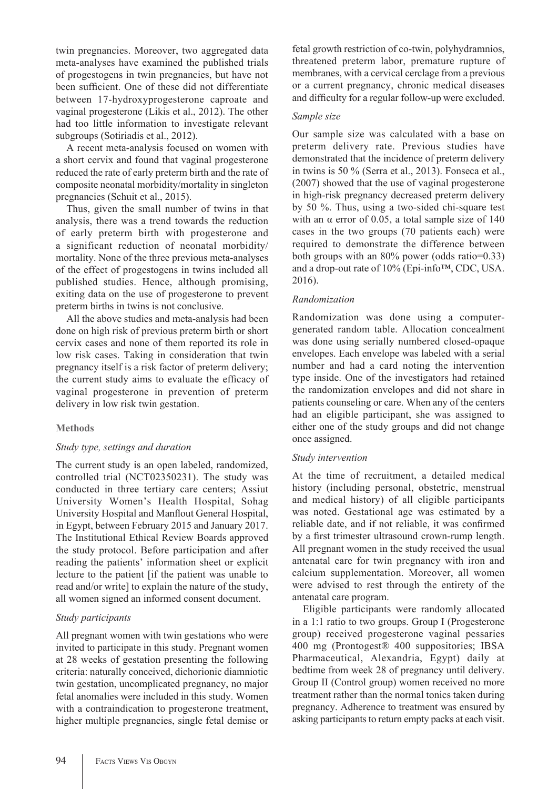twin pregnancies. Moreover, two aggregated data meta-analyses have examined the published trials of progestogens in twin pregnancies, but have not been sufficient. One of these did not differentiate between 17-hydroxyprogesterone caproate and vaginal progesterone (Likis et al., 2012). The other had too little information to investigate relevant subgroups (Sotiriadis et al., 2012).

A recent meta-analysis focused on women with a short cervix and found that vaginal progesterone reduced the rate of early preterm birth and the rate of composite neonatal morbidity/mortality in singleton pregnancies (Schuit et al., 2015).

Thus, given the small number of twins in that analysis, there was a trend towards the reduction of early preterm birth with progesterone and a significant reduction of neonatal morbidity/ mortality. None of the three previous meta-analyses of the effect of progestogens in twins included all published studies. Hence, although promising, exiting data on the use of progesterone to prevent preterm births in twins is not conclusive.

All the above studies and meta-analysis had been done on high risk of previous preterm birth or short cervix cases and none of them reported its role in low risk cases. Taking in consideration that twin pregnancy itself is a risk factor of preterm delivery; the current study aims to evaluate the efficacy of vaginal progesterone in prevention of preterm delivery in low risk twin gestation.

#### **Methods**

#### *Study type, settings and duration*

The current study is an open labeled, randomized, controlled trial (NCT02350231). The study was conducted in three tertiary care centers; Assiut University Women's Health Hospital, Sohag University Hospital and Manfout General Hospital, in Egypt, between February 2015 and January 2017. The Institutional Ethical Review Boards approved the study protocol. Before participation and after reading the patients' information sheet or explicit lecture to the patient [if the patient was unable to read and/or write] to explain the nature of the study, all women signed an informed consent document.

#### *Study participants*

All pregnant women with twin gestations who were invited to participate in this study. Pregnant women at 28 weeks of gestation presenting the following criteria: naturally conceived, dichorionic diamniotic twin gestation, uncomplicated pregnancy, no major fetal anomalies were included in this study. Women with a contraindication to progesterone treatment, higher multiple pregnancies, single fetal demise or fetal growth restriction of co-twin, polyhydramnios, threatened preterm labor, premature rupture of membranes, with a cervical cerclage from a previous or a current pregnancy, chronic medical diseases and diffculty for a regular follow-up were excluded.

#### *Sample size*

Our sample size was calculated with a base on preterm delivery rate. Previous studies have demonstrated that the incidence of preterm delivery in twins is 50 % (Serra et al., 2013). Fonseca et al., (2007) showed that the use of vaginal progesterone in high-risk pregnancy decreased preterm delivery by 50 %. Thus, using a two-sided chi-square test with an  $\alpha$  error of 0.05, a total sample size of 140 cases in the two groups (70 patients each) were required to demonstrate the difference between both groups with an 80% power (odds ratio=0.33) and a drop-out rate of 10% (Epi-info™, CDC, USA. 2016).

# *Randomization*

Randomization was done using a computergenerated random table. Allocation concealment was done using serially numbered closed-opaque envelopes. Each envelope was labeled with a serial number and had a card noting the intervention type inside. One of the investigators had retained the randomization envelopes and did not share in patients counseling or care. When any of the centers had an eligible participant, she was assigned to either one of the study groups and did not change once assigned.

#### *Study intervention*

At the time of recruitment, a detailed medical history (including personal, obstetric, menstrual and medical history) of all eligible participants was noted. Gestational age was estimated by a reliable date, and if not reliable, it was confrmed by a frst trimester ultrasound crown-rump length. All pregnant women in the study received the usual antenatal care for twin pregnancy with iron and calcium supplementation. Moreover, all women were advised to rest through the entirety of the antenatal care program.

Eligible participants were randomly allocated in a 1:1 ratio to two groups. Group I (Progesterone group) received progesterone vaginal pessaries 400 mg (Prontogest® 400 suppositories; IBSA Pharmaceutical, Alexandria, Egypt) daily at bedtime from week 28 of pregnancy until delivery. Group II (Control group) women received no more treatment rather than the normal tonics taken during pregnancy. Adherence to treatment was ensured by asking participants to return empty packs at each visit.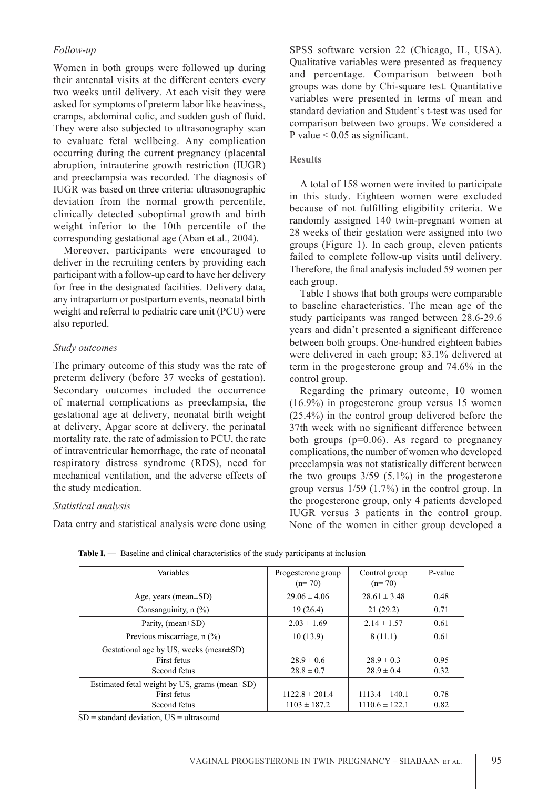# *Follow-up*

Women in both groups were followed up during their antenatal visits at the different centers every two weeks until delivery. At each visit they were asked for symptoms of preterm labor like heaviness, cramps, abdominal colic, and sudden gush of fuid. They were also subjected to ultrasonography scan to evaluate fetal wellbeing. Any complication occurring during the current pregnancy (placental abruption, intrauterine growth restriction (IUGR) and preeclampsia was recorded. The diagnosis of IUGR was based on three criteria: ultrasonographic deviation from the normal growth percentile, clinically detected suboptimal growth and birth weight inferior to the 10th percentile of the corresponding gestational age (Aban et al., 2004).

Moreover, participants were encouraged to deliver in the recruiting centers by providing each participant with a follow-up card to have her delivery for free in the designated facilities. Delivery data, any intrapartum or postpartum events, neonatal birth weight and referral to pediatric care unit (PCU) were also reported.

# *Study outcomes*

The primary outcome of this study was the rate of preterm delivery (before 37 weeks of gestation). Secondary outcomes included the occurrence of maternal complications as preeclampsia, the gestational age at delivery, neonatal birth weight at delivery, Apgar score at delivery, the perinatal mortality rate, the rate of admission to PCU, the rate of intraventricular hemorrhage, the rate of neonatal respiratory distress syndrome (RDS), need for mechanical ventilation, and the adverse effects of the study medication.

#### *Statistical analysis*

Data entry and statistical analysis were done using

SPSS software version 22 (Chicago, IL, USA). Qualitative variables were presented as frequency and percentage. Comparison between both groups was done by Chi-square test. Quantitative variables were presented in terms of mean and standard deviation and Student's t-test was used for comparison between two groups. We considered a P value  $< 0.05$  as significant.

#### **Results**

A total of 158 women were invited to participate in this study. Eighteen women were excluded because of not fulflling eligibility criteria. We randomly assigned 140 twin-pregnant women at 28 weeks of their gestation were assigned into two groups (Figure 1). In each group, eleven patients failed to complete follow-up visits until delivery. Therefore, the fnal analysis included 59 women per each group.

Table I shows that both groups were comparable to baseline characteristics. The mean age of the study participants was ranged between 28.6-29.6 years and didn't presented a signifcant difference between both groups. One-hundred eighteen babies were delivered in each group; 83.1% delivered at term in the progesterone group and 74.6% in the control group.

Regarding the primary outcome, 10 women (16.9%) in progesterone group versus 15 women (25.4%) in the control group delivered before the 37th week with no signifcant difference between both groups (p=0.06). As regard to pregnancy complications, the number of women who developed preeclampsia was not statistically different between the two groups  $3/59$  (5.1%) in the progesterone group versus 1/59 (1.7%) in the control group. In the progesterone group, only 4 patients developed IUGR versus 3 patients in the control group. None of the women in either group developed a

| Variables                                                                          | Progesterone group<br>$(n=70)$         | Control group<br>$(n=70)$                | P-value      |
|------------------------------------------------------------------------------------|----------------------------------------|------------------------------------------|--------------|
| Age, years (mean $\pm$ SD)                                                         | $29.06 \pm 4.06$                       | $28.61 \pm 3.48$                         | 0.48         |
| Consanguinity, $n$ (%)                                                             | 19(26.4)                               | 21(29.2)                                 | 0.71         |
| Parity, (mean $\pm$ SD)                                                            | $2.03 \pm 1.69$                        | $2.14 \pm 1.57$                          | 0.61         |
| Previous miscarriage, n (%)                                                        | 10(13.9)                               | 8(11.1)                                  | 0.61         |
| Gestational age by US, weeks (mean±SD)<br>First fetus<br>Second fetus              | $28.9 \pm 0.6$<br>$28.8 \pm 0.7$       | $28.9 \pm 0.3$<br>$28.9 \pm 0.4$         | 0.95<br>0.32 |
| Estimated fetal weight by US, grams (mean $\pm$ SD)<br>First fetus<br>Second fetus | $1122.8 \pm 201.4$<br>$1103 \pm 187.2$ | $1113.4 \pm 140.1$<br>$1110.6 \pm 122.1$ | 0.78<br>0.82 |

Table I. — Baseline and clinical characteristics of the study participants at inclusion

 $SD =$  standard deviation,  $US =$  ultrasound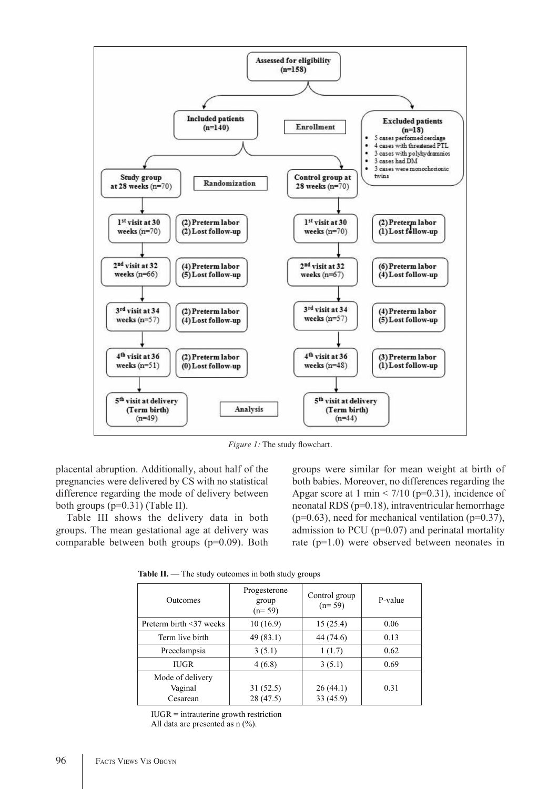

*Figure 1:* The study flowchart.

placental abruption. Additionally, about half of the pregnancies were delivered by CS with no statistical difference regarding the mode of delivery between both groups (p=0.31) (Table II).

Table III shows the delivery data in both groups. The mean gestational age at delivery was comparable between both groups (p=0.09). Both groups were similar for mean weight at birth of both babies. Moreover, no differences regarding the Apgar score at 1 min  $\leq$  7/10 (p=0.31), incidence of neonatal RDS (p=0.18), intraventricular hemorrhage  $(p=0.63)$ , need for mechanical ventilation  $(p=0.37)$ , admission to PCU (p=0.07) and perinatal mortality rate (p=1.0) were observed between neonates in

**Table II.** — The study outcomes in both study groups

| <b>Outcomes</b>                         | Progesterone<br>group<br>$(n=59)$ | Control group<br>$(n=59)$ | P-value |
|-----------------------------------------|-----------------------------------|---------------------------|---------|
| Preterm birth <37 weeks                 | 10(16.9)                          | 15(25.4)                  | 0.06    |
| Term live birth                         | 49(83.1)                          | 44 (74.6)                 | 0.13    |
| Preeclampsia                            | 3(5.1)                            | 1(1.7)                    | 0.62    |
| <b>IUGR</b>                             | 4(6.8)                            | 3(5.1)                    | 0.69    |
| Mode of delivery<br>Vaginal<br>Cesarean | 31(52.5)<br>28 (47.5)             | 26(44.1)<br>33 (45.9)     | 0.31    |

 $IUGR =$  intrauterine growth restriction All data are presented as n  $(%)$ .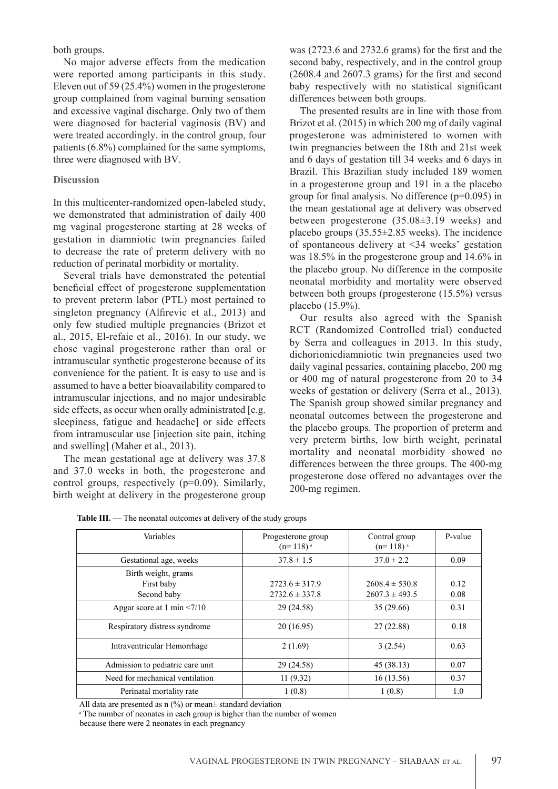both groups.

No major adverse effects from the medication were reported among participants in this study. Eleven out of 59 (25.4%) women in the progesterone group complained from vaginal burning sensation and excessive vaginal discharge. Only two of them were diagnosed for bacterial vaginosis (BV) and were treated accordingly. in the control group, four patients (6.8%) complained for the same symptoms, three were diagnosed with BV.

# **Discussion**

In this multicenter-randomized open-labeled study, we demonstrated that administration of daily 400 mg vaginal progesterone starting at 28 weeks of gestation in diamniotic twin pregnancies failed to decrease the rate of preterm delivery with no reduction of perinatal morbidity or mortality.

Several trials have demonstrated the potential beneficial effect of progesterone supplementation to prevent preterm labor (PTL) most pertained to singleton pregnancy (Alfrevic et al., 2013) and only few studied multiple pregnancies (Brizot et al., 2015, El-refaie et al., 2016). In our study, we chose vaginal progesterone rather than oral or intramuscular synthetic progesterone because of its convenience for the patient. It is easy to use and is assumed to have a better bioavailability compared to intramuscular injections, and no major undesirable side effects, as occur when orally administrated [e.g. sleepiness, fatigue and headache] or side effects from intramuscular use [injection site pain, itching and swelling] (Maher et al., 2013).

The mean gestational age at delivery was 37.8 and 37.0 weeks in both, the progesterone and control groups, respectively (p=0.09). Similarly, birth weight at delivery in the progesterone group

was (2723.6 and 2732.6 grams) for the frst and the second baby, respectively, and in the control group (2608.4 and 2607.3 grams) for the frst and second baby respectively with no statistical signifcant differences between both groups.

The presented results are in line with those from Brizot et al. (2015) in which 200 mg of daily vaginal progesterone was administered to women with twin pregnancies between the 18th and 21st week and 6 days of gestation till 34 weeks and 6 days in Brazil. This Brazilian study included 189 women in a progesterone group and 191 in a the placebo group for fnal analysis. No difference (p=0.095) in the mean gestational age at delivery was observed between progesterone (35.08±3.19 weeks) and placebo groups (35.55±2.85 weeks). The incidence of spontaneous delivery at <34 weeks' gestation was 18.5% in the progesterone group and 14.6% in the placebo group. No difference in the composite neonatal morbidity and mortality were observed between both groups (progesterone (15.5%) versus placebo (15.9%).

Our results also agreed with the Spanish RCT (Randomized Controlled trial) conducted by Serra and colleagues in 2013. In this study, dichorionicdiamniotic twin pregnancies used two daily vaginal pessaries, containing placebo, 200 mg or 400 mg of natural progesterone from 20 to 34 weeks of gestation or delivery (Serra et al., 2013). The Spanish group showed similar pregnancy and neonatal outcomes between the progesterone and the placebo groups. The proportion of preterm and very preterm births, low birth weight, perinatal mortality and neonatal morbidity showed no differences between the three groups. The 400-mg progesterone dose offered no advantages over the 200-mg regimen.

| Variables                                        | Progesterone group<br>$(n=118)^{a}$      | Control group<br>$(n=118)^{a}$           | P-value      |
|--------------------------------------------------|------------------------------------------|------------------------------------------|--------------|
| Gestational age, weeks                           | $37.8 \pm 1.5$                           | $37.0 \pm 2.2$                           | 0.09         |
| Birth weight, grams<br>First baby<br>Second baby | $2723.6 \pm 317.9$<br>$2732.6 \pm 337.8$ | $2608.4 \pm 530.8$<br>$2607.3 \pm 493.5$ | 0.12<br>0.08 |
| Apgar score at 1 min $\leq$ 7/10                 | 29 (24.58)                               | 35(29.66)                                | 0.31         |
| Respiratory distress syndrome                    | 20(16.95)                                | 27(22.88)                                | 0.18         |
| Intraventricular Hemorrhage                      | 2(1.69)                                  | 3(2.54)                                  | 0.63         |
| Admission to pediatric care unit                 | 29 (24.58)                               | 45(38.13)                                | 0.07         |
| Need for mechanical ventilation                  | 11(9.32)                                 | 16(13.56)                                | 0.37         |
| Perinatal mortality rate                         | 1(0.8)                                   | 1(0.8)                                   | 1.0          |

All data are presented as  $n$  (%) or mean $\pm$  standard deviation

<sup>a</sup> The number of neonates in each group is higher than the number of women

because there were 2 neonates in each pregnancy